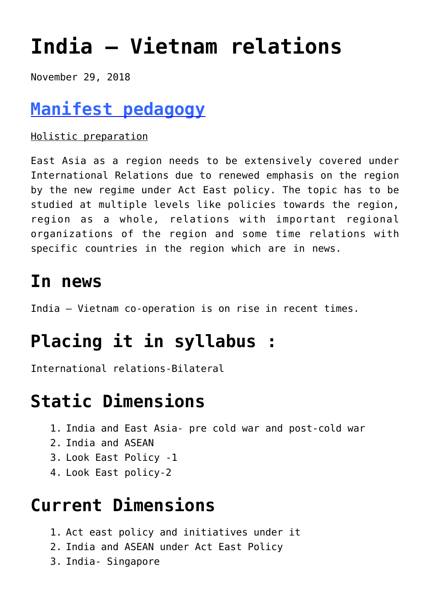# **[India – Vietnam relations](https://journalsofindia.com/india-vietnam-relations/)**

November 29, 2018

## **[Manifest pedagogy](https://www.manifestias.com/2018/11/05/manifest-pedagogy-looking-beyond-the-issue/)**

#### Holistic preparation

East Asia as a region needs to be extensively covered under International Relations due to renewed emphasis on the region by the new regime under Act East policy. The topic has to be studied at multiple levels like policies towards the region, region as a whole, relations with important regional organizations of the region and some time relations with specific countries in the region which are in news.

### **In news**

India – Vietnam co-operation is on rise in recent times.

## **Placing it in syllabus :**

International relations-Bilateral

### **Static Dimensions**

- 1. India and East Asia- pre cold war and post-cold war
- 2. India and ASEAN
- 3. Look East Policy -1
- 4. Look East policy-2

## **Current Dimensions**

- 1. Act east policy and initiatives under it
- 2. India and ASEAN under Act East Policy
- 3. India- Singapore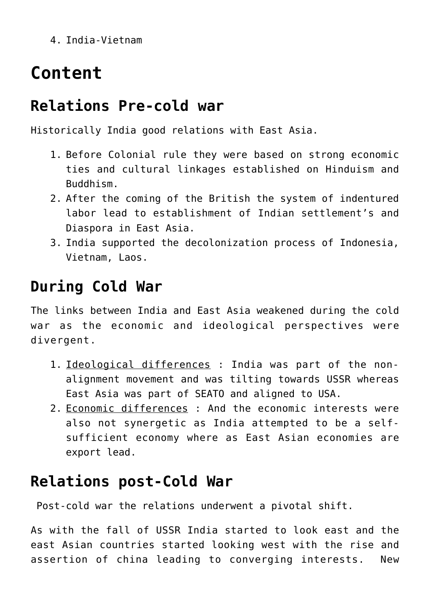4. India-Vietnam

## **Content**

#### **Relations Pre-cold war**

Historically India good relations with East Asia.

- 1. Before Colonial rule they were based on strong economic ties and cultural linkages established on Hinduism and Buddhism.
- 2. After the coming of the British the system of indentured labor lead to establishment of Indian settlement's and Diaspora in East Asia.
- 3. India supported the decolonization process of Indonesia, Vietnam, Laos.

#### **During Cold War**

The links between India and East Asia weakened during the cold war as the economic and ideological perspectives were divergent.

- 1. Ideological differences : India was part of the nonalignment movement and was tilting towards USSR whereas East Asia was part of SEATO and aligned to USA.
- 2. Economic differences : And the economic interests were also not synergetic as India attempted to be a selfsufficient economy where as East Asian economies are export lead.

#### **Relations post-Cold War**

Post-cold war the relations underwent a pivotal shift.

As with the fall of USSR India started to look east and the east Asian countries started looking west with the rise and assertion of china leading to converging interests. New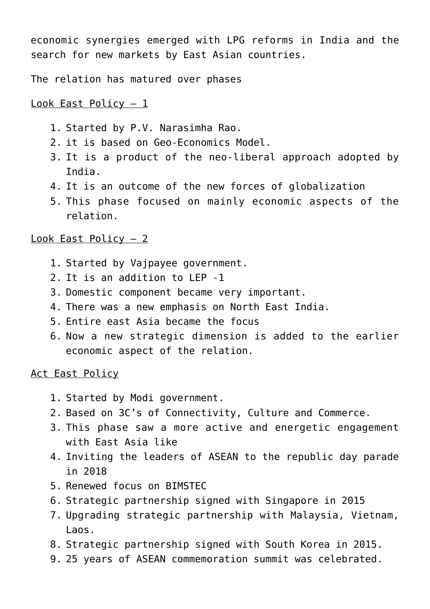economic synergies emerged with LPG reforms in India and the search for new markets by East Asian countries.

The relation has matured over phases

#### Look East Policy – 1

- 1. Started by P.V. Narasimha Rao.
- 2. it is based on Geo-Economics Model.
- 3. It is a product of the neo-liberal approach adopted by India.
- 4. It is an outcome of the new forces of globalization
- 5. This phase focused on mainly economic aspects of the relation.

#### Look East Policy – 2

- 1. Started by Vajpayee government.
- 2. It is an addition to LEP -1
- 3. Domestic component became very important.
- 4. There was a new emphasis on North East India.
- 5. Entire east Asia became the focus
- 6. Now a new strategic dimension is added to the earlier economic aspect of the relation.

Act East Policy

- 1. Started by Modi government.
- 2. Based on 3C's of Connectivity, Culture and Commerce.
- 3. This phase saw a more active and energetic engagement with East Asia like
- 4. Inviting the leaders of ASEAN to the republic day parade in 2018
- 5. Renewed focus on BIMSTEC
- 6. Strategic partnership signed with Singapore in 2015
- 7. Upgrading strategic partnership with Malaysia, Vietnam, Laos.
- 8. Strategic partnership signed with South Korea in 2015.
- 9. 25 years of ASEAN commemoration summit was celebrated.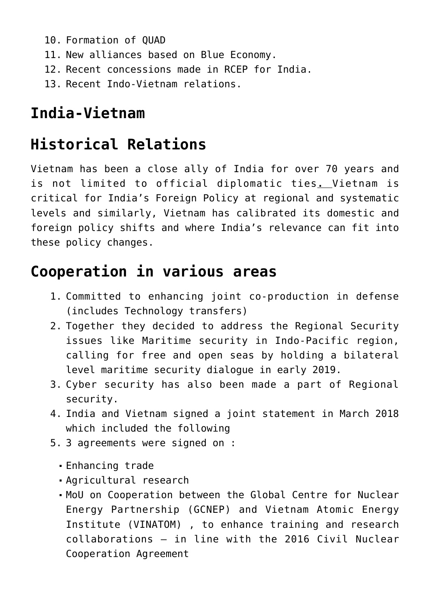- 10. Formation of QUAD
- 11. New alliances based on Blue Economy.
- 12. Recent concessions made in RCEP for India.
- 13. Recent Indo-Vietnam relations.

#### **India-Vietnam**

#### **Historical Relations**

Vietnam has been a close ally of India for over 70 years and is not limited to official diplomatic ties**.** Vietnam is critical for India's Foreign Policy at regional and systematic levels and similarly, Vietnam has calibrated its domestic and foreign policy shifts and where India's relevance can fit into these policy changes.

#### **Cooperation in various areas**

- 1. Committed to enhancing joint co-production in defense (includes Technology transfers)
- 2. Together they decided to address the Regional Security issues like Maritime security in Indo-Pacific region, calling for free and open seas by holding a bilateral level maritime security dialogue in early 2019.
- 3. Cyber security has also been made a part of Regional security.
- 4. India and Vietnam signed a joint statement in March 2018 which included the following
- 5. 3 agreements were signed on :
	- Enhancing trade
	- Agricultural research
	- MoU on Cooperation between the Global Centre for Nuclear Energy Partnership (GCNEP) and Vietnam Atomic Energy Institute (VINATOM) , to enhance training and research collaborations – in line with the 2016 Civil Nuclear Cooperation Agreement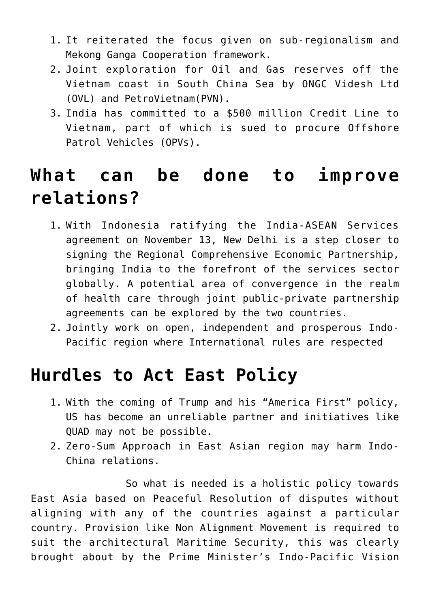- 1. It reiterated the focus given on sub-regionalism and Mekong Ganga Cooperation framework.
- 2. Joint exploration for Oil and Gas reserves off the Vietnam coast in South China Sea by ONGC Videsh Ltd (OVL) and PetroVietnam(PVN).
- 3. India has committed to a \$500 million Credit Line to Vietnam, part of which is sued to procure Offshore Patrol Vehicles (OPVs).

### **What can be done to improve relations?**

- 1. With Indonesia ratifying the India-ASEAN Services agreement on November 13, New Delhi is a step closer to signing the Regional Comprehensive Economic Partnership, bringing India to the forefront of the services sector globally. A potential area of convergence in the realm of health care through joint public-private partnership agreements can be explored by the two countries.
- 2. Jointly work on open, independent and prosperous Indo-Pacific region where International rules are respected

### **Hurdles to Act East Policy**

- 1. With the coming of Trump and his "America First" policy, US has become an unreliable partner and initiatives like QUAD may not be possible.
- 2. Zero-Sum Approach in East Asian region may harm Indo-China relations.

 So what is needed is a holistic policy towards East Asia based on Peaceful Resolution of disputes without aligning with any of the countries against a particular country. Provision like Non Alignment Movement is required to suit the architectural Maritime Security, this was clearly brought about by the Prime Minister's Indo-Pacific Vision